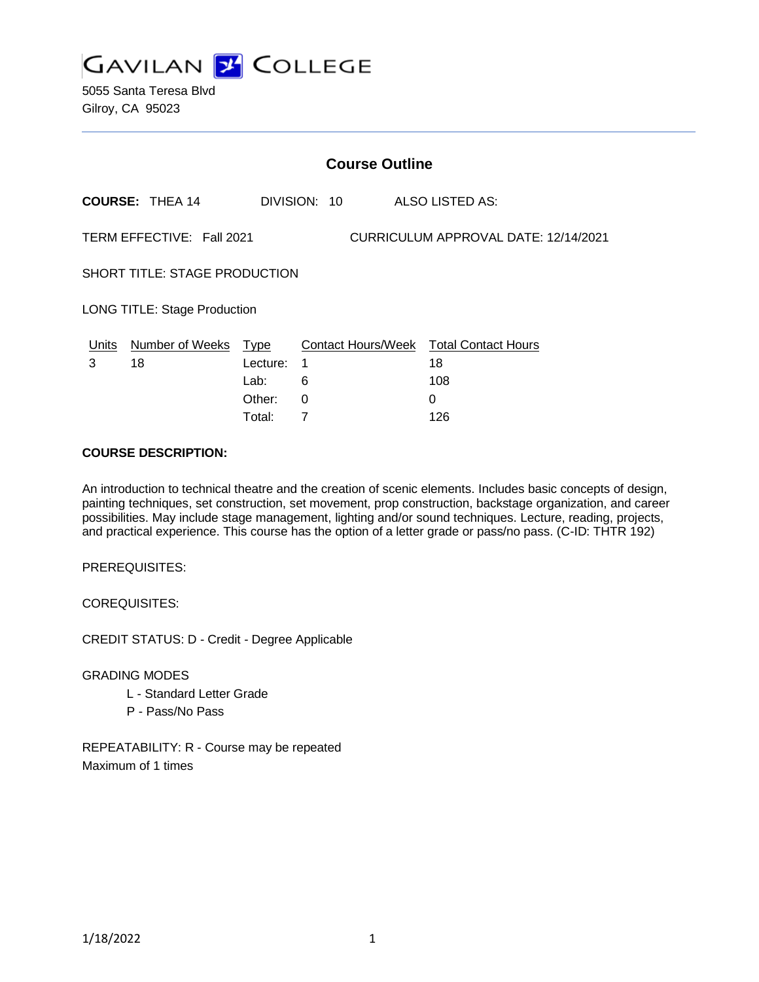

5055 Santa Teresa Blvd Gilroy, CA 95023

|                                                                   | <b>Course Outline</b>  |              |   |  |  |                                        |  |
|-------------------------------------------------------------------|------------------------|--------------|---|--|--|----------------------------------------|--|
|                                                                   | <b>COURSE: THEA 14</b> | DIVISION: 10 |   |  |  | ALSO LISTED AS:                        |  |
| TERM EFFECTIVE: Fall 2021<br>CURRICULUM APPROVAL DATE: 12/14/2021 |                        |              |   |  |  |                                        |  |
| <b>SHORT TITLE: STAGE PRODUCTION</b>                              |                        |              |   |  |  |                                        |  |
| <b>LONG TITLE: Stage Production</b>                               |                        |              |   |  |  |                                        |  |
| Units                                                             | Number of Weeks Type   |              |   |  |  | Contact Hours/Week Total Contact Hours |  |
| 3                                                                 | 18                     | Lecture:     | 1 |  |  | 18                                     |  |
|                                                                   |                        | Lab:         | 6 |  |  | 108                                    |  |
|                                                                   |                        | Other:       | 0 |  |  | 0                                      |  |
|                                                                   |                        |              |   |  |  |                                        |  |

Total: 7 126

#### **COURSE DESCRIPTION:**

An introduction to technical theatre and the creation of scenic elements. Includes basic concepts of design, painting techniques, set construction, set movement, prop construction, backstage organization, and career possibilities. May include stage management, lighting and/or sound techniques. Lecture, reading, projects, and practical experience. This course has the option of a letter grade or pass/no pass. (C-ID: THTR 192)

PREREQUISITES:

COREQUISITES:

CREDIT STATUS: D - Credit - Degree Applicable

GRADING MODES

- L Standard Letter Grade
- P Pass/No Pass

REPEATABILITY: R - Course may be repeated Maximum of 1 times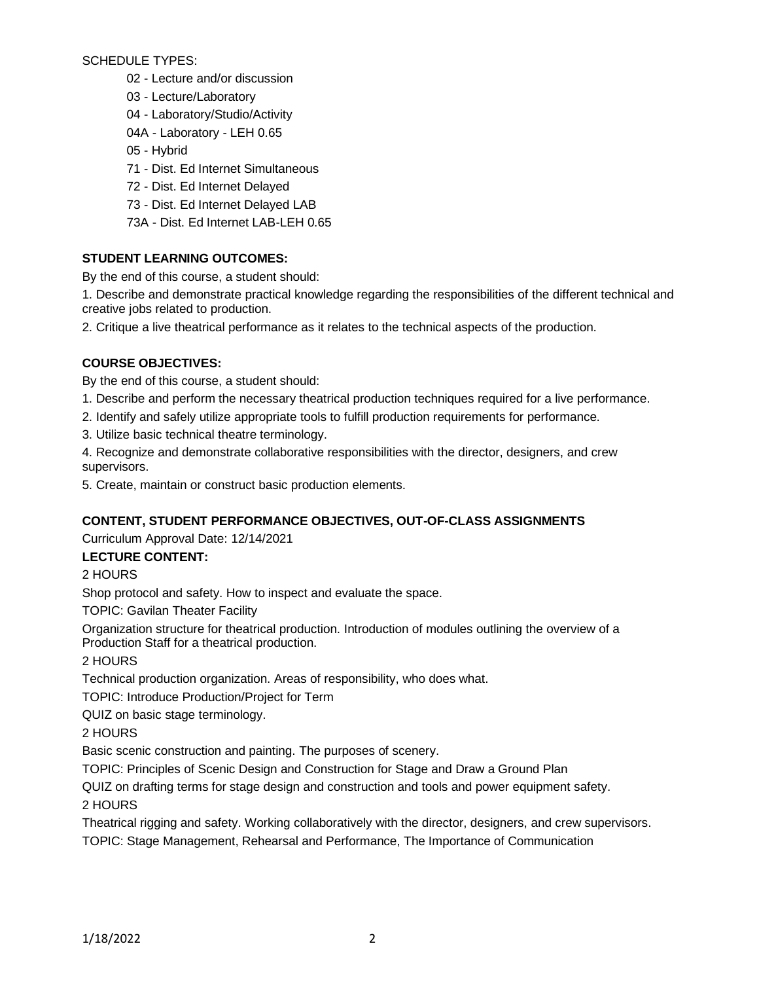SCHEDULE TYPES:

- 02 Lecture and/or discussion
- 03 Lecture/Laboratory
- 04 Laboratory/Studio/Activity
- 04A Laboratory LEH 0.65
- 05 Hybrid
- 71 Dist. Ed Internet Simultaneous
- 72 Dist. Ed Internet Delayed
- 73 Dist. Ed Internet Delayed LAB
- 73A Dist. Ed Internet LAB-LEH 0.65

## **STUDENT LEARNING OUTCOMES:**

By the end of this course, a student should:

1. Describe and demonstrate practical knowledge regarding the responsibilities of the different technical and creative jobs related to production.

2. Critique a live theatrical performance as it relates to the technical aspects of the production.

## **COURSE OBJECTIVES:**

By the end of this course, a student should:

- 1. Describe and perform the necessary theatrical production techniques required for a live performance.
- 2. Identify and safely utilize appropriate tools to fulfill production requirements for performance.
- 3. Utilize basic technical theatre terminology.
- 4. Recognize and demonstrate collaborative responsibilities with the director, designers, and crew supervisors.
- 5. Create, maintain or construct basic production elements.

## **CONTENT, STUDENT PERFORMANCE OBJECTIVES, OUT-OF-CLASS ASSIGNMENTS**

Curriculum Approval Date: 12/14/2021

## **LECTURE CONTENT:**

## 2 HOURS

Shop protocol and safety. How to inspect and evaluate the space.

TOPIC: Gavilan Theater Facility

Organization structure for theatrical production. Introduction of modules outlining the overview of a Production Staff for a theatrical production.

## 2 HOURS

Technical production organization. Areas of responsibility, who does what.

TOPIC: Introduce Production/Project for Term

QUIZ on basic stage terminology.

## 2 HOURS

Basic scenic construction and painting. The purposes of scenery.

TOPIC: Principles of Scenic Design and Construction for Stage and Draw a Ground Plan

QUIZ on drafting terms for stage design and construction and tools and power equipment safety.

## 2 HOURS

Theatrical rigging and safety. Working collaboratively with the director, designers, and crew supervisors. TOPIC: Stage Management, Rehearsal and Performance, The Importance of Communication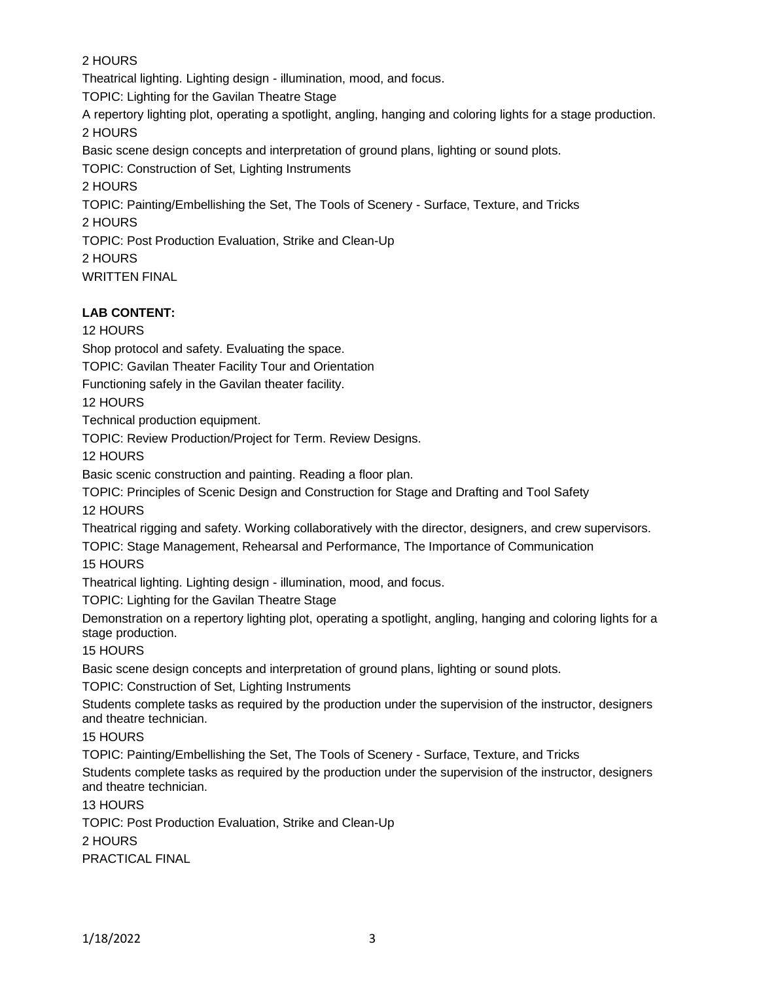## 2 HOURS

Theatrical lighting. Lighting design - illumination, mood, and focus.

TOPIC: Lighting for the Gavilan Theatre Stage

A repertory lighting plot, operating a spotlight, angling, hanging and coloring lights for a stage production.

2 HOURS

Basic scene design concepts and interpretation of ground plans, lighting or sound plots.

TOPIC: Construction of Set, Lighting Instruments

2 HOURS

TOPIC: Painting/Embellishing the Set, The Tools of Scenery - Surface, Texture, and Tricks 2 HOURS

TOPIC: Post Production Evaluation, Strike and Clean-Up

2 HOURS

WRITTEN FINAL

# **LAB CONTENT:**

12 HOURS

Shop protocol and safety. Evaluating the space.

TOPIC: Gavilan Theater Facility Tour and Orientation

Functioning safely in the Gavilan theater facility.

12 HOURS

Technical production equipment.

TOPIC: Review Production/Project for Term. Review Designs.

12 HOURS

Basic scenic construction and painting. Reading a floor plan.

TOPIC: Principles of Scenic Design and Construction for Stage and Drafting and Tool Safety

12 HOURS

Theatrical rigging and safety. Working collaboratively with the director, designers, and crew supervisors.

TOPIC: Stage Management, Rehearsal and Performance, The Importance of Communication

15 HOURS

Theatrical lighting. Lighting design - illumination, mood, and focus.

TOPIC: Lighting for the Gavilan Theatre Stage

Demonstration on a repertory lighting plot, operating a spotlight, angling, hanging and coloring lights for a stage production.

15 HOURS

Basic scene design concepts and interpretation of ground plans, lighting or sound plots.

TOPIC: Construction of Set, Lighting Instruments

Students complete tasks as required by the production under the supervision of the instructor, designers and theatre technician.

15 HOURS

TOPIC: Painting/Embellishing the Set, The Tools of Scenery - Surface, Texture, and Tricks Students complete tasks as required by the production under the supervision of the instructor, designers and theatre technician.

13 HOURS

TOPIC: Post Production Evaluation, Strike and Clean-Up 2 HOURS

PRACTICAL FINAL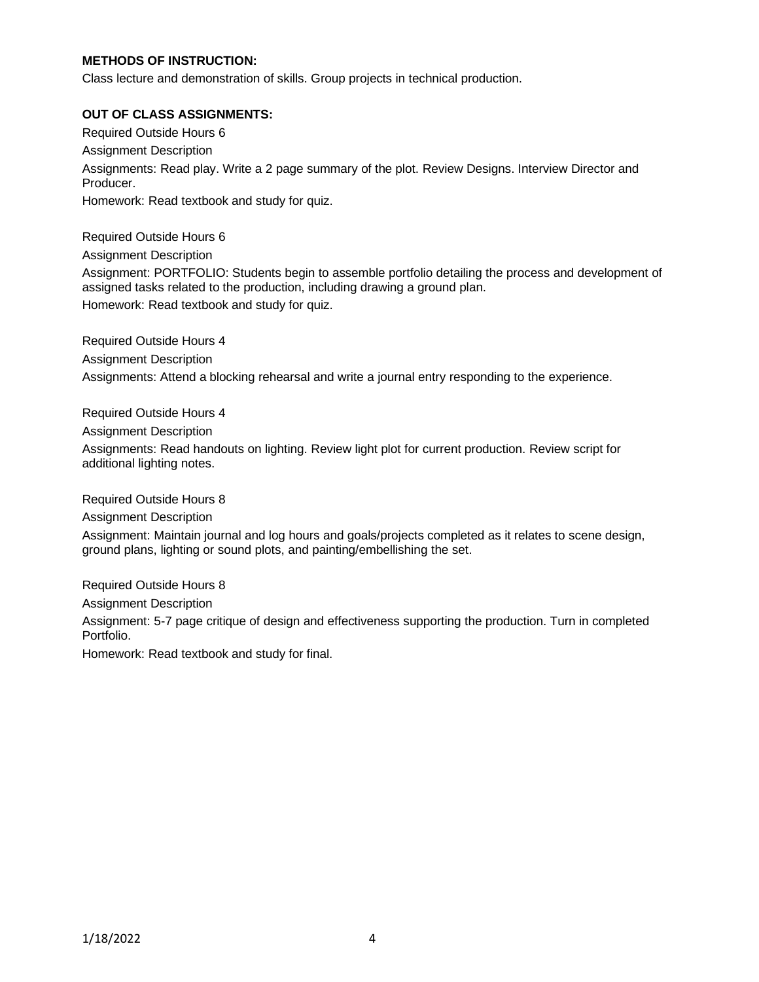#### **METHODS OF INSTRUCTION:**

Class lecture and demonstration of skills. Group projects in technical production.

#### **OUT OF CLASS ASSIGNMENTS:**

Required Outside Hours 6 Assignment Description Assignments: Read play. Write a 2 page summary of the plot. Review Designs. Interview Director and Producer. Homework: Read textbook and study for quiz.

Required Outside Hours 6 Assignment Description Assignment: PORTFOLIO: Students begin to assemble portfolio detailing the process and development of assigned tasks related to the production, including drawing a ground plan. Homework: Read textbook and study for quiz.

Required Outside Hours 4 Assignment Description Assignments: Attend a blocking rehearsal and write a journal entry responding to the experience.

Required Outside Hours 4

Assignment Description

Assignments: Read handouts on lighting. Review light plot for current production. Review script for additional lighting notes.

Required Outside Hours 8

Assignment Description

Assignment: Maintain journal and log hours and goals/projects completed as it relates to scene design, ground plans, lighting or sound plots, and painting/embellishing the set.

Required Outside Hours 8

Assignment Description

Assignment: 5-7 page critique of design and effectiveness supporting the production. Turn in completed Portfolio.

Homework: Read textbook and study for final.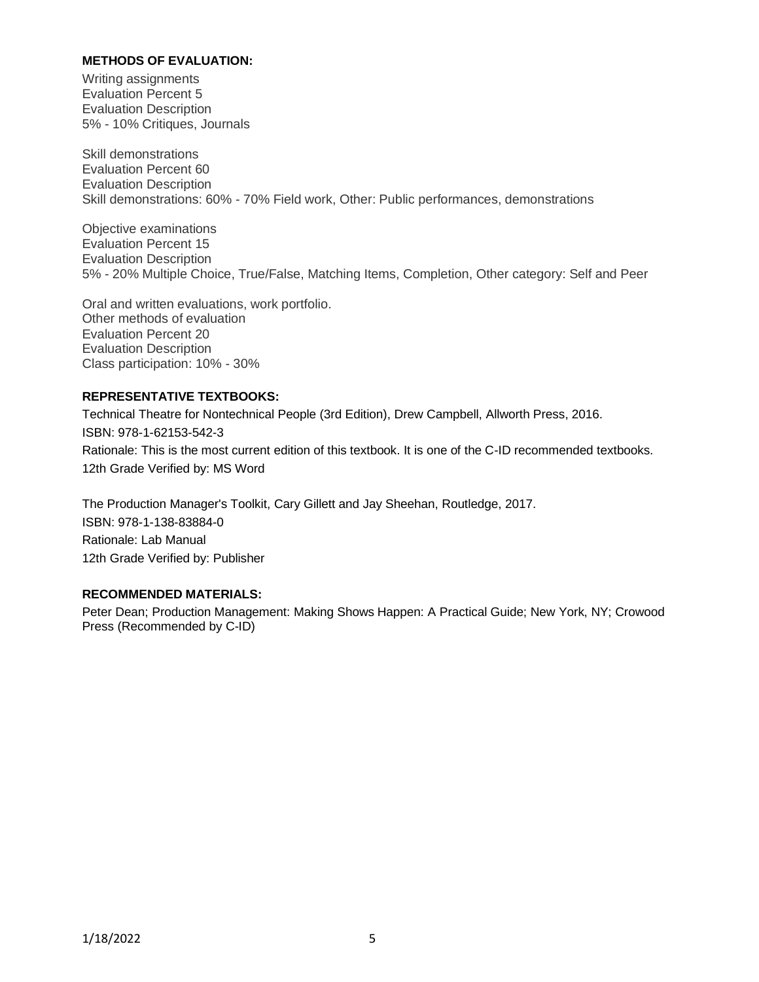#### **METHODS OF EVALUATION:**

Writing assignments Evaluation Percent 5 Evaluation Description 5% - 10% Critiques, Journals

Skill demonstrations Evaluation Percent 60 Evaluation Description Skill demonstrations: 60% - 70% Field work, Other: Public performances, demonstrations

Objective examinations Evaluation Percent 15 Evaluation Description 5% - 20% Multiple Choice, True/False, Matching Items, Completion, Other category: Self and Peer

Oral and written evaluations, work portfolio. Other methods of evaluation Evaluation Percent 20 Evaluation Description Class participation: 10% - 30%

#### **REPRESENTATIVE TEXTBOOKS:**

Technical Theatre for Nontechnical People (3rd Edition), Drew Campbell, Allworth Press, 2016. ISBN: 978-1-62153-542-3 Rationale: This is the most current edition of this textbook. It is one of the C-ID recommended textbooks. 12th Grade Verified by: MS Word

The Production Manager's Toolkit, Cary Gillett and Jay Sheehan, Routledge, 2017. ISBN: 978-1-138-83884-0 Rationale: Lab Manual 12th Grade Verified by: Publisher

#### **RECOMMENDED MATERIALS:**

Peter Dean; Production Management: Making Shows Happen: A Practical Guide; New York, NY; Crowood Press (Recommended by C-ID)